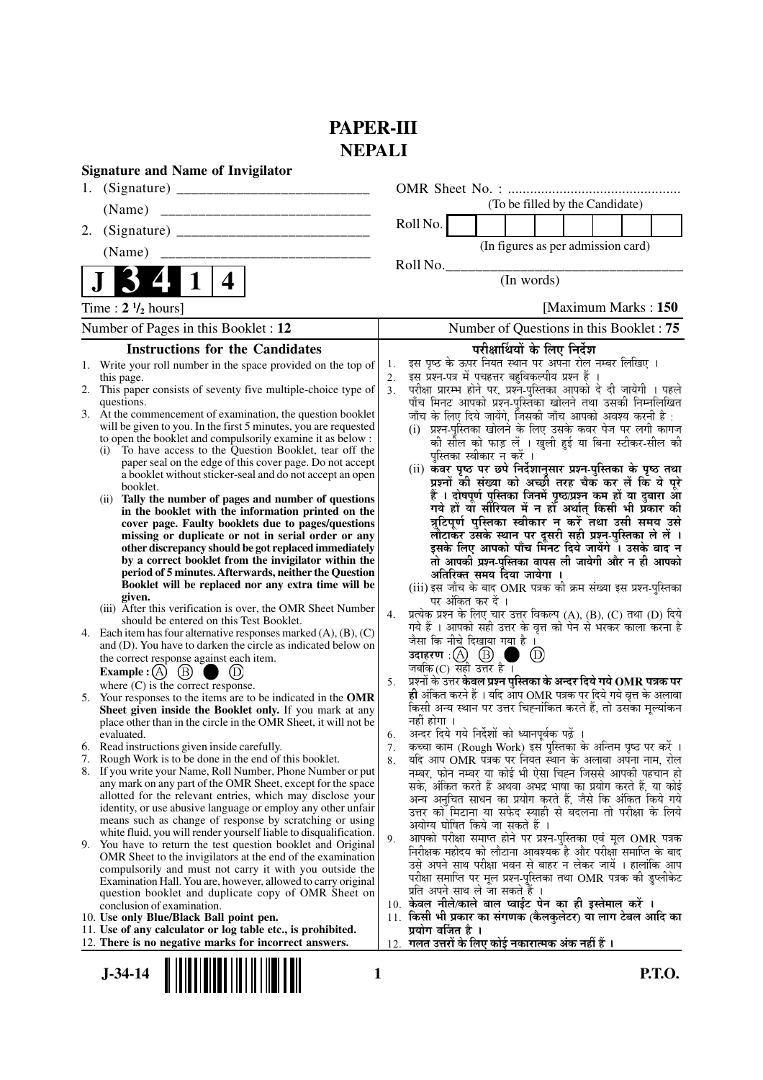# **PAPER-III NEPALI**

|    | <b>Signature and Name of Invigilator</b>                                                                                              |                      |                                                                                                                            |  |  |  |  |
|----|---------------------------------------------------------------------------------------------------------------------------------------|----------------------|----------------------------------------------------------------------------------------------------------------------------|--|--|--|--|
| 1. |                                                                                                                                       |                      |                                                                                                                            |  |  |  |  |
|    | (Name)                                                                                                                                |                      | (To be filled by the Candidate)                                                                                            |  |  |  |  |
| 2. |                                                                                                                                       |                      | Roll No.                                                                                                                   |  |  |  |  |
|    | (Name)                                                                                                                                |                      | (In figures as per admission card)                                                                                         |  |  |  |  |
|    |                                                                                                                                       |                      | Roll No.                                                                                                                   |  |  |  |  |
|    | 4                                                                                                                                     |                      | (In words)                                                                                                                 |  |  |  |  |
|    | Time : $2 \frac{1}{2}$ hours]                                                                                                         | [Maximum Marks: 150] |                                                                                                                            |  |  |  |  |
|    | Number of Pages in this Booklet : 12                                                                                                  |                      | Number of Questions in this Booklet: 75                                                                                    |  |  |  |  |
|    | <b>Instructions for the Candidates</b>                                                                                                |                      | परीक्षार्थियों के लिए निर्देश                                                                                              |  |  |  |  |
|    | 1. Write your roll number in the space provided on the top of                                                                         | 1.                   | इस पृष्ठ के ऊपर नियत स्थान पर अपना रोल नम्बर लिखिए ।<br>इस प्रश्न-पत्र में पचहत्तर बहुविकल्पीय प्रश्न हैं                  |  |  |  |  |
|    | this page.<br>2. This paper consists of seventy five multiple-choice type of                                                          | 2.<br>3 <sub>1</sub> | परीक्षा प्रारम्भ होने पर, प्रश्न-पुस्तिका आपको दे दी जायेगी । पहले                                                         |  |  |  |  |
|    | questions.                                                                                                                            |                      | पाँच मिनट आपको प्रश्न-पुस्तिका खोलने तथा उसकी निम्नलिखित                                                                   |  |  |  |  |
|    | 3. At the commencement of examination, the question booklet<br>will be given to you. In the first 5 minutes, you are requested        |                      | जाँच के लिए दिये जायेंगे, जिसकी जाँच आपको अवश्य करनी है :                                                                  |  |  |  |  |
|    | to open the booklet and compulsorily examine it as below :                                                                            |                      | (i) प्रश्न-पुस्तिका खोलने के लिए उसके कवर पेज पर लगी कागज<br>की सील को फाड़ लें । खुली हुई या बिना स्टीकर-सील की           |  |  |  |  |
|    | (i) To have access to the Question Booklet, tear off the                                                                              |                      | पस्तिका स्वीकार न करें ।                                                                                                   |  |  |  |  |
|    | paper seal on the edge of this cover page. Do not accept<br>a booklet without sticker-seal and do not accept an open                  |                      | (ii) कवर पृष्ठ पर छपे निर्देशानुसार प्रश्न-पुस्तिका के पृष्ठ तथा                                                           |  |  |  |  |
|    | booklet.                                                                                                                              |                      | प्रश्नों की संख्या को अच्छी तरह चैक कर लें कि ये पूरे<br>हैं । दोषपूर्ण पुस्तिका जिनमें पृष्ठ/प्रश्न कम हों या दुबारा आ    |  |  |  |  |
|    | (ii) Tally the number of pages and number of questions<br>in the booklet with the information printed on the                          |                      | गये हों या सौरियल में न हों अर्थात् किसी भी प्रॅकार की                                                                     |  |  |  |  |
|    | cover page. Faulty booklets due to pages/questions                                                                                    |                      | त्रुटिपूर्ण पुस्तिका स्वीकार न करें तथा उसी समय उसे                                                                        |  |  |  |  |
|    | missing or duplicate or not in serial order or any                                                                                    |                      | लौटाकर उसके स्थान पर दूसरी सही प्रश्न-पुस्तिका ले लें ।<br>इसके लिए आपको पाँच मिनट दिये जायेंगे । उसके बाद न               |  |  |  |  |
|    | other discrepancy should be got replaced immediately<br>by a correct booklet from the invigilator within the                          |                      | तो आपकी प्रश्न-पुस्तिका वापस ली जायेगी और न ही आपको                                                                        |  |  |  |  |
|    | period of 5 minutes. Afterwards, neither the Question                                                                                 |                      | अतिरिक्त समय दिया जायेगा ।                                                                                                 |  |  |  |  |
|    | Booklet will be replaced nor any extra time will be<br>given.                                                                         |                      | (iii) इस जाँच के बाद OMR पत्रक की क्रम संख्या इस प्रश्न-पुस्तिका                                                           |  |  |  |  |
|    | (iii) After this verification is over, the OMR Sheet Number                                                                           | 4.                   | पर अंकित कर दें ।<br>प्रत्येक प्रश्न के लिए चार उत्तर विकल्प (A), (B), (C) तथा (D) दिये                                    |  |  |  |  |
|    | should be entered on this Test Booklet.                                                                                               |                      | गये हैं । आपको सही उत्तर के वृत्त को पेन से भरकर काला करना है                                                              |  |  |  |  |
| 4. | Each item has four alternative responses marked $(A)$ , $(B)$ , $(C)$<br>and (D). You have to darken the circle as indicated below on |                      | जैसा कि नीचे दिखाया गया है ।                                                                                               |  |  |  |  |
|    | the correct response against each item.                                                                                               |                      | (D)                                                                                                                        |  |  |  |  |
|    | Example : $(A)$ $(B)$<br>(D)                                                                                                          | 5.                   | जबकि $(C)$ सही उत्तर है ।<br>प्रश्नों के उत्तर <b>केवल प्रश्न पुस्तिका के अन्दर दिये गये OMR पत्रक पर</b>                  |  |  |  |  |
|    | where $(C)$ is the correct response.<br>5. Your responses to the items are to be indicated in the OMR                                 |                      | ही अंकित करने हैं । यदि आप OMR पत्रक पर दिये गये वृत्त के अलावा                                                            |  |  |  |  |
|    | Sheet given inside the Booklet only. If you mark at any                                                                               |                      | किसी अन्य स्थान पर उत्तर चिह्नांकित करते हैं, तो उसका मूल्यांकन<br>नहीं होगा ।                                             |  |  |  |  |
|    | place other than in the circle in the OMR Sheet, it will not be<br>evaluated.                                                         | 6.                   | अन्दर दिये गये निर्देशों को ध्यानपूर्वक पढ़ें ।                                                                            |  |  |  |  |
|    | 6. Read instructions given inside carefully.                                                                                          | 7.                   | कच्चा काम (Rough Work) इस पुस्तिका के अन्तिम पृष्ठ पर करें ।                                                               |  |  |  |  |
|    | 7. Rough Work is to be done in the end of this booklet.                                                                               | 8.                   | यदि आप OMR पत्रक पर नियत स्थान के अलावा अपना नाम, रोल                                                                      |  |  |  |  |
|    | 8. If you write your Name, Roll Number, Phone Number or put<br>any mark on any part of the OMR Sheet, except for the space            |                      | नम्बर, फोन नम्बर या कोई भी ऐसा चिह्न जिससे आपकी पहचान हो<br>सके, अंकित करते हैं अथवा अभद्र भाषा का प्रयोग करते हैं, या कोई |  |  |  |  |
|    | allotted for the relevant entries, which may disclose your                                                                            |                      | अन्य अनुचित साधन का प्रयोग करते हैं, जैसे कि अंकित किये गये                                                                |  |  |  |  |
|    | identity, or use abusive language or employ any other unfair<br>means such as change of response by scratching or using               |                      | उत्तर को मिटाना या सफेद स्याही से बदलना तो परीक्षा के लिये                                                                 |  |  |  |  |
|    | white fluid, you will render yourself liable to disqualification.                                                                     |                      | अयोग्य घोषित किये जा सकते हैं ।<br>आपको परीक्षा समाप्त होने पर प्रश्न-पुस्तिका एवं मूल OMR पत्रक                           |  |  |  |  |
|    | 9. You have to return the test question booklet and Original                                                                          | 9.                   | निरीक्षक महोदय को लौटाना आवश्यक है और परीक्षा समाप्ति के बाद                                                               |  |  |  |  |
|    | OMR Sheet to the invigilators at the end of the examination<br>compulsorily and must not carry it with you outside the                |                      | उसे अपने साथ परीक्षा भवन से बाहर न लेकर जायें । हालांकि आप                                                                 |  |  |  |  |
|    | Examination Hall. You are, however, allowed to carry original                                                                         |                      | परीक्षा समाप्ति पर मूल प्रश्न-पुस्तिका तथा OMR पत्रक की डुप्लीकेट                                                          |  |  |  |  |
|    | question booklet and duplicate copy of OMR Sheet on<br>conclusion of examination.                                                     |                      | प्रति अपने साथ ले जा सकते हैं ।<br>10. केवल नीले/काले बाल प्वाईंट पेन का ही इस्तेमाल करें ।                                |  |  |  |  |
|    | 10. Use only Blue/Black Ball point pen.                                                                                               | 11.                  | किसी भी प्रकार का संगणक (कैलकुलेटर) या लाग टेबल आदि का                                                                     |  |  |  |  |
|    | 11. Use of any calculator or log table etc., is prohibited.                                                                           |                      | प्रयोग वर्जित है ।                                                                                                         |  |  |  |  |
|    | 12. There is no negative marks for incorrect answers.                                                                                 | 12.                  | गलत उत्तरों के लिए कोई नकारात्मक अंक नहीं हैं ।                                                                            |  |  |  |  |
|    | $J - 34 - 14$<br>1                                                                                                                    |                      | <b>P.T.O.</b>                                                                                                              |  |  |  |  |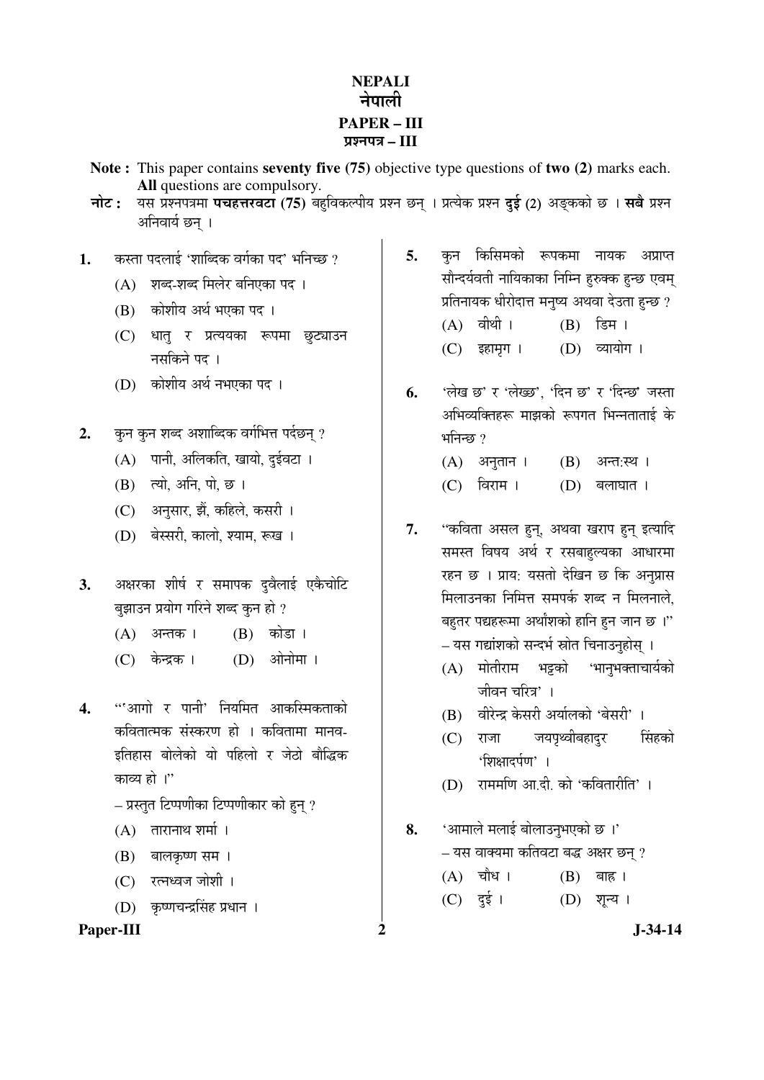## **NEPALI**  नेपाली **PAPER – III**  ¯ÖÏ¿®Ö¯Ö¡Ö **– III**

- **Note :** This paper contains **seventy five (75)** objective type questions of **two (2)** marks each. **All** questions are compulsory.
- **नोट:** यस प्रश्नपत्रमा **पचहत्तरवटा (75)** बहविकल्पीय प्रश्न छन् । प्रत्येक प्रश्न **दई (2) अङ्कको छ । सबै प्रश्न** अनिवार्य छन ।
- 1. ♦ कस्ता पदलाई 'शाब्दिक वर्गका पद' भनिच्छ ?
	- (A) शब्द-शब्द मिलेर बनिएका पद ।
	- (B) कोशीय अर्थ भएका पद ।
	- (C) धातु र प्रत्ययका रूपमा छुट्याउन नसकिने पद।
	- (D) कोशीय अर्थ नभएका पद।
- 2. कन कन शब्द अशाब्दिक वर्गभित्त पर्दछन् ?
	- $(A)$  पानी, अलिकति, खायो, दुईवटा ।
	- $(B)$  त्यो, अनि, पो, छ।
	- (C) अनुसार, झैं, कहिले, कसरी ।
	- (D) बेस्सरी, कालो, श्याम, रूख ।
- 3. अक्षरका शीर्ष र समापक दुवैलाई एकैचोटि बुझाउन प्रयोग गरिने शब्द कुन हो ?
	- $(A)$  अन्तक।  $(B)$  कोडा।
	- (C) केन्द्रक । (D) ओनोमा ।
- 4. "'आगो र पानी' नियमित आकस्मिकताको कवितात्मक संस्करण हो । कवितामा मानव-इतिहास बोलेको यो पहिलो र जेठो बौद्धिक काव्य हो ।''
	- $-$  प्रस्तुत टिप्पणीका टिप्पणीकार को हुन् ?
	- $(A)$  तारानाथ शर्मा।
	- (B) बालकृष्ण सम ।
	- (C) रत्नध्वज जोशी ।
	- (D) कृष्णचन्द्रसिंह प्रधान ।

### Paper-III 2 J-34-14

- 5. कन किसिमको रूपकमा नायक अप्राप्त सौन्दर्यवती नायिकाका निम्नि हरुक्क हुन्छ एवम् प्रतिनायक धीरोदात्त मनृष्य अथवा देउता हन्छ ?  $(A)$  वीथी।  $(B)$  डिम। (C) इहामृग । (D) व्यायोग ।
- **6.** 'लेख छ' र 'लेख्छ', 'दिन छ' र 'दिन्छ' जस्ता अभिव्यक्तिहरू माझको रूपगत भिन्नताताई के भनिन्छ $\gamma$ 
	- $(A)$  अनुतान ।  $(B)$  अन्त:स्थ ।
	- $(C)$  विराम  $(D)$  बलाघात ।
- 7. "कविता असल हुन, अथवा खराप हुन इत्यादि समस्त विषय अर्थ र रसबाहल्यका आधारमा रहन छ । प्राय: यसतो देखिन छ कि अनुप्रास मिलाउनका निमित्त समपर्क शब्द न मिलनाले. बहतर पद्यहरूमा अर्थांशको हानि हन जान छ ।" – यस गद्यांशको सन्दर्भ स्रोत चिनाउनुहोस् ।
	- $(A)$  मोतीराम भट्टको 'भान्भक्ताचार्यको जीवन चरित्र' ।
	- $(B)$  वीरेन्द्र केसरी अर्यालको 'बेसरी' ।
	- (C) राजा जयपृथ्वीबहादुर सिंहको <u>'शिक्षा</u>दर्पण' ।
	- $(D)$  राममणि आ.दी. को 'कवितारीति' ।
- 8. 'आमाले मलाई बोलाउनुभएको छ ।'
	- यस वाक्यमा कतिवटा बद्ध अक्षर छन ?
	- $(A)$  चौध।  $(B)$  बाह।
	- (C) दुई ।  $(D)$  शून्य ।
		-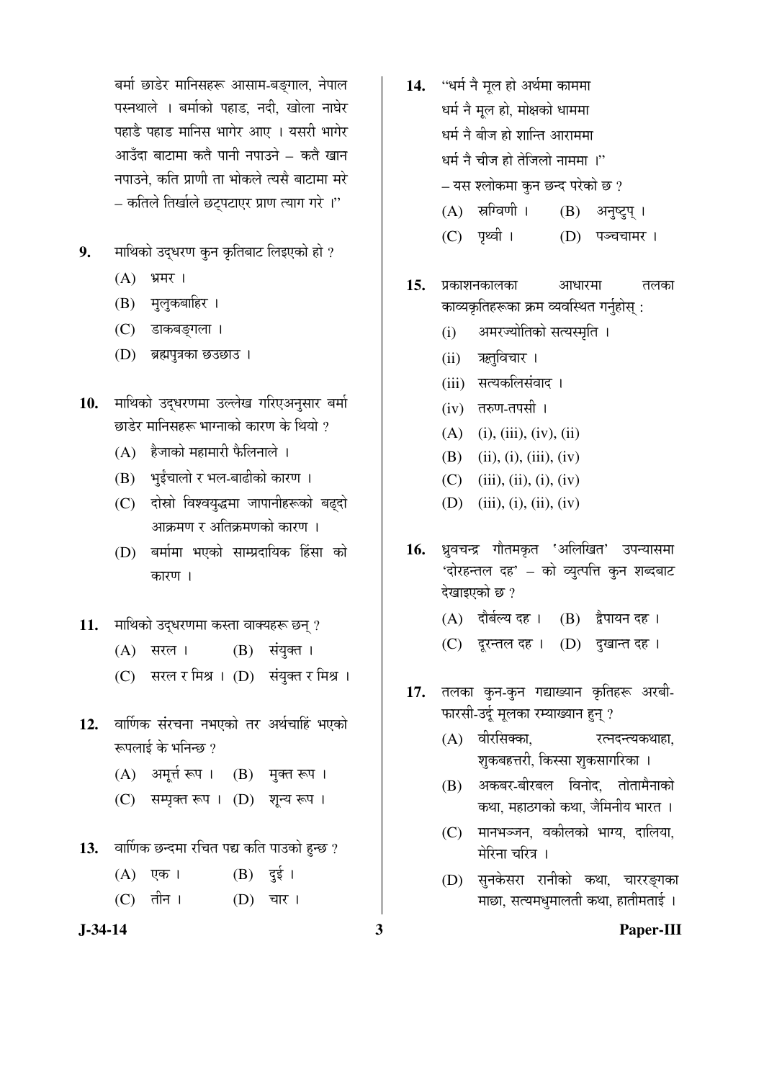बर्मा छाडेर मानिसहरू आसाम-बङ्गाल, नेपाल पस्नथाले । बर्माको पहाड, नदी, खोला नाघेर पहाडै पहाड मानिस भागेर आए । यसरी भागेर आउँदा बाटामा कतै पानी नपाउने – कतै खान नपाउने, कति प्राणी ता भोकले त्यसै बाटामा मरे — कतिले तिर्खाले छट्पटाएर प्राण त्याग गरे ।''

- 9. Tilथको उद्धरण कुन कृतिबाट लिइएको हो ?
	- $(A)$  भ्रमर।
	- (B) मुलुकबाहिर ।
	- (C) डाकबङ्गला ।
	- (D) ब्रह्मपुत्रका छउछाउ।
- 10. माथिको उद्धरणमा उल्लेख गरिएअनुसार बर्मा छाडेर मानिसहरू भाग्नाको कारण के थियो ?
	- (A) हैजाको महामारी फैलिनाले ।
	- (B) भईचालो र भल-बाढीको कारण ।
	- (C) दोस्रो विश्वयुद्धमा जापानीहरूको बढ्दो आक्रमण र अतिक्रमणको कारण ।
	- (D) बर्मामा भएको साम्प्रदायिक हिंसा को कारण ।
- 11. **माथिको उद्धरणमा कस्ता वाक्यहरू छन्** ?
	- $(A)$  सरल ।  $(B)$  संयुक्त ।
	- (C) सरल र मिश्र । (D) संयुक्त र मिश्र ।
- 12. वार्णिक संरचना नभएको तर अर्थचाहिं भएको रूपलाई के भनिन्छ ?
	- $(A)$  अमूर्त रूप ।  $(B)$  मुक्त रूप ।
	- (C) सम्प्रक्त रूप । (D) शून्य रूप ।
- 13. वार्णिक छन्दमा रचित पद्य कति पाउको हुन्छ ?
	- (A) एक ।  $(B)$  दुई । (C) तीन । (D) चार ।
- 
- 14. "धर्म ने मुल हो अर्थमा काममा धर्म नै मुल हो, मोक्षको धाममा धर्म नै बीज हो शान्ति आराममा धर्म नै चीज हो तेजिलो नाममा ।''  $-$  यस श्लोकमा कुन छन्द परेको छ ?
	- (A) स्रग्विणी । (B) अनुष्ट्रप् ।
	- (C) पृथ्वी । (D) पञ्चचामर ।
- 15. प्रकाशनकालका आधारमा तलका काव्यकृतिहरूका क्रम व्यवस्थित गर्नुहोस् :
	- (i) अमरज्योतिको सत्यस्मृति ।
	- (ii) ऋतुविचार ।
	- (iii) सत्यकलिसंवाद ।
	- $(iv)$  तरुण-तपसी ।
	- $(A)$  (i), (iii), (iv), (ii)
	- (B) (ii), (i), (iii), (iv)
	- $(C)$  (iii), (ii), (i), (iv)
	- (D) (iii), (i), (ii), (iv)
- 16. ध्रुवचन्द्र गौतमकृत 'अलिखित' उपन्यासमा 'दोरहन्तल दह' – को व्युत्पत्ति कुन शब्दबाट देखाइएको छ?
	- (A) दौर्बल्य दह । (B) द्वैपायन दह ।
	- $(C)$  दूरन्तल दह।  $(D)$  दुखान्त दह।
- 17. तलका कुन-कुन गद्याख्यान कृतिहरू अरबी-फारसी-उर्दू मूलका रम्याख्यान हुन् ?
	- $(A)$  वीरसिक्का,  $\overline{C}$ रत्नदन्त्यकथाहा, शुकबहत्तरी, किस्सा शुकसागरिका ।
	- (B) अकबर-बीरबल विनोद, तोतामैनाको ंकथा, महाठगको कथा, जैमिनीय भारत**।**
	- (C) मानभञ्जन, वकीलको भाग्य, दालिया, मेरिना चरित्र $\perp$
	- (D) सुनकेसरा रानीको कथा, चाररङगका <u>माछा, सत्यमधुमालती कथा, हातीमताई ।</u>

**J-34-14 3 Paper-III**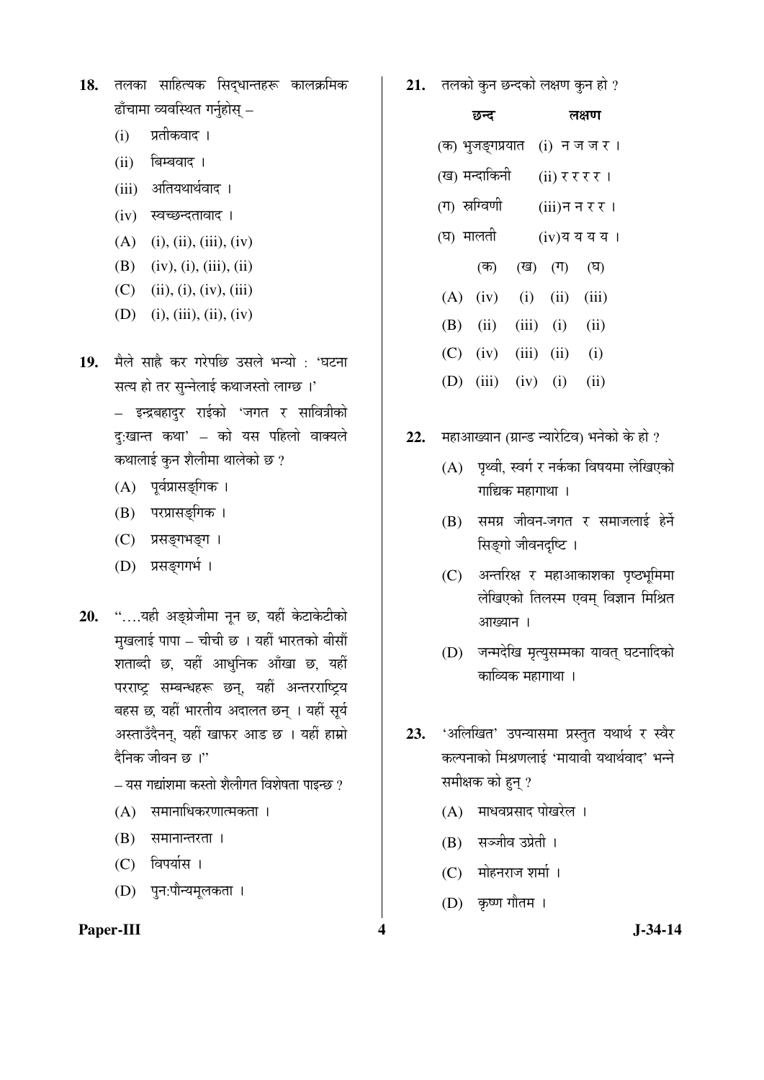- 18. तलका साहित्यक सिद्धान्तहरू कालक्रमिक ढाँचामा व्यवस्थित गर्नुहोस् –
	- (i) प्रतीकवाद ।
	- $(ii)$  बिम्बवाद।
	- (iii) अतियथार्थवाद।
	- $(iv)$  स्वच्छन्दतावाद ।
	- $(A)$  (i), (ii), (iii), (iv)
	- (B) (iv), (i), (iii), (ii)
	- $(C)$  (ii), (i), (iv), (iii)
	- (D) (i), (iii), (ii), (iv)
- 19. मैले साह्रै कर गरेपछि उसले भन्यो : 'घटना सत्य हो तर सन्नेलाई कथाजस्तो लाग्छ ।'

– इन्द्रबहादुर राईको 'जगत र सावित्रीको दु:खान्त कथा' – को यस पहिलो वाक्यले कथालाई कुन शैलीमा थालेको छ ?

- (A) पूर्वप्रासङ्गिक ।
- (B) परप्रासङ्गिक ।
- (C) प्रसङ्गभङ्ग ।
- (D) प्रसङ्गगर्भ।
- 20. "....यही अङ्ग्रेजीमा नून छ, यहीं केटाकेटीको मुखलाई पापा – चीची छ । यहीं भारतको बीसौं शताब्दी छ, यहीं आधुनिक आँखा छ, यहीं परराष्ट्र सम्बन्धहरू छन्, यहीं अन्तरराष्ट्रिय बहस छ, यहीं भारतीय अदालत छन् । यहीं सूर्य अस्ताउँदैनन्, यहीं खाफर आड छ । यहीं हाम्रो दैनिक जीवन छ*।*"

– यस गद्यांशमा कस्तो शैलीगत विशेषता पाइन्छ ?

- $(A)$  समानाधिकरणात्मकता ।
- $(B)$  समानान्तरता ।
- (C) विपर्यास ।
- (D) पुन:पौन्यमूलकता ।

### **Paper-III 4** J-34-14

21. तलको कुन छन्दको लक्षण कुन हो ?

|     | छन्द                  |               | लक्षण                |                |  |  |
|-----|-----------------------|---------------|----------------------|----------------|--|--|
|     | (क) भुजङ्गप्रयात      |               |                      | (i) नजजर।      |  |  |
|     | (ख) मन्दाकिनी         |               |                      | (ii) र र र र । |  |  |
|     | (ग) स्रग्विणी         |               |                      | (iii)न न र र । |  |  |
|     | (घ) मालती             |               |                      | (iv)य य य य ।  |  |  |
|     | (ক)                   | (ख) (ग)       |                      | (घ)            |  |  |
| (A) | (iv)                  |               | $(i)$ $(ii)$ $(iii)$ |                |  |  |
| (B) | (ii)                  | $(iii)$ $(i)$ |                      | (ii)           |  |  |
| (C) | $(iv)$ $(iii)$ $(ii)$ |               |                      | (i)            |  |  |

- (D) (iii) (iv) (i) (ii)
- 22. महाआख्यान (ग्रान्ड न्यारेटिव) भनेको के हो ?
	- $(A)$  पृथ्वी, स्वर्ग र नर्कका विषयमा लेखिएको  $\overline{\text{m}}$ द्यिक महागाथा ।
	- (B) समग्र जीवन-जगत र समाजलाई हेर्ने सिङ्गो जीवनदृष्टि ।
	- $(C)$  अन्तरिक्ष र महाआकाशका पृष्ठभूमिमा लेखिएको तिलस्म एवम् विज्ञान मिश्रित आख्यान ।
	- (D) जन्मदेखि मृत्युसम्मका यावत् घटनादिको काव्यिक महागाथा ।
- 23. 'अलिखित' उपन्यासमा प्रस्तुत यथार्थ र स्वैर कल्पनाको मिश्रणलाई 'मायावी यथार्थवाद' भन्ने समीक्षक को हन् ?
	- $(A)$  माधवप्रसाद पोखरेल ।
	- (B) सञ्जीव उप्रेती ।
	- (C) मोहनराज शर्मा ।
	- $(D)$  कृष्ण गौतम $\vert$ ।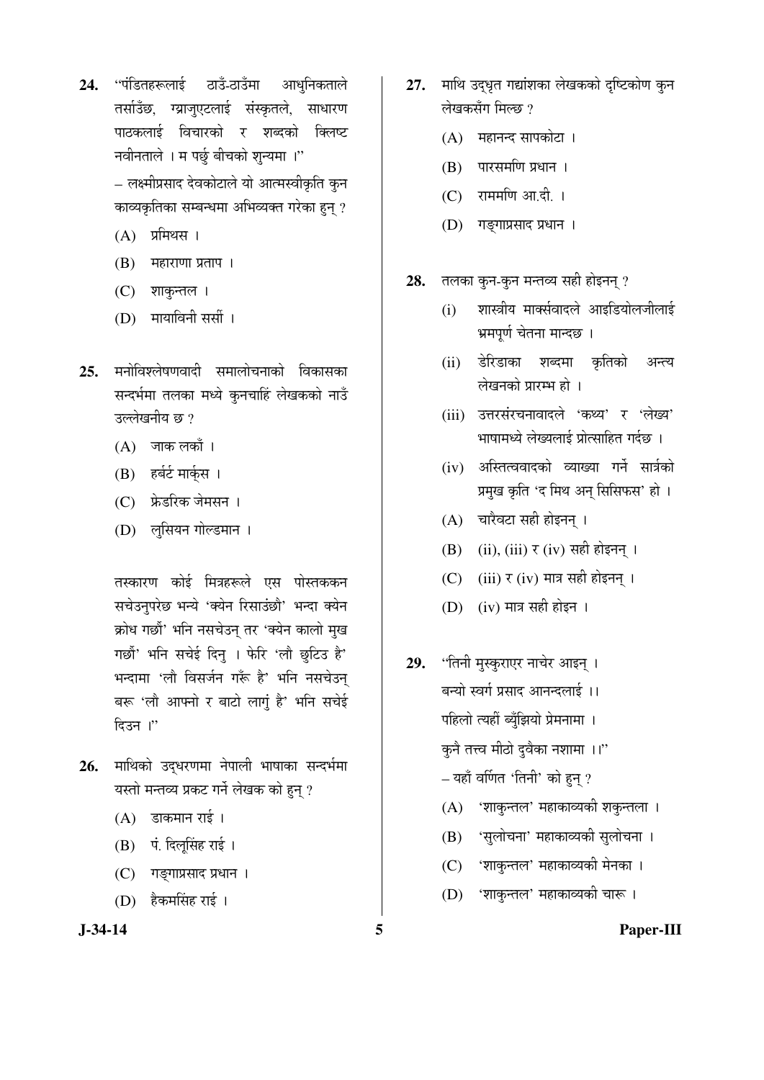24. "पंडितहरूलाई ठाउँ-ठाउँमा आधुनिकताले तर्साउँछ, ग्य्राजुएटलाई संस्कृतले, साधारण पाठकलाई विचारको र शब्दको क्लिष्ट नवीनताले । म पर्छु बीचको शुन्यमा ।"

> – लक्ष्मीप्रसाद देवकोटाले यो आत्मस्वीकृति कुन काव्यकृतिका सम्बन्धमा अभिव्यक्त गरेका हुन् ?

- $(A)$  प्रमिथस ।
- $(B)$  महाराणा प्रताप $\parallel$
- (C) शाकुन्तल ।
- (D) मायाविनी सर्सी ।
- 25. मनोविश्लेषणवादी समालोचनाको विकासका सन्दर्भमा तलका मध्ये कुनचाहिं लेखकको नाउँ उल्लेखनीय छ $\,$ ?
	- $(A)$  जाक लकाँ ।
	- (B) हर्बर्ट मार्क्**स** ।
	- (C) फ्रेडरिक जेमसन ।
	- (D) लुसियन गोल्डमान ।

तस्कारण कोई मित्रहरूले एस पोस्तककन सचेउनुपरेछ भन्ये 'क्येन रिसाउंछौ' भन्दा क्येन क्रोध गर्छौ' भनि नसचेउन् तर 'क्येन कालो मुख गर्छौ' भनि सचेई दिनु । फेरि 'लौ छुटिउ है' भन्दामा 'लौ विसर्जन गरूँ है' भनि नसचेउन् बरू 'लौ आफ्नो र बाटो लागूं है' भनि सचेई हिउन ।"

- 26. माथिको उदधरणमा नेपाली भाषाका सन्दर्भमा यस्तो मन्तव्य प्रकट गर्ने लेखक को हुन् ?
	- $(A)$  डाकमान राई।
	- (B) पं. दिलूसिंह राई ।
	- (C) गङ्गाप्रसाद प्रधान ।
	- (D) हैकमसिंह राई ।
- 27. माथि उद्धृत गद्यांशका लेखकको दृष्टिकोण कुन लेखकसँग मिल्छ ?
	- (A) महानन्द सापकोटा ।
	- $(B)$  पारसमणि प्रधान ।
	- $(C)$  राममणि आ.दी. ।
	- (D) गङ्गाप्रसाद प्रधान ।
- 28. तलका कुन-कुन मन्तव्य सही होइनन् ?
	- (i) शास्त्रीय मार्क्सवादले आइडियोलजीलाई भ्रमपर्ण चेतना मान्दछ ।
	- (ii) डेरिडाका शब्दमा कृतिको अन्त्य लेखनको प्रारम्भ हो ।
	- (iii) उत्तरसंरचनावादले 'कथ्य' र 'लेख्य' <u>भाषामध्ये लेख्यलाई प्रोत्साहित गर्दछ ।</u>
	- (iv) अस्तित्ववादको व्याख्या गर्ने सार्त्रको प्रमुख कृति 'द मिथ अन् सिसिफस' हो ।
	- $(A)$  चारैवटा सही होइनन् ।
	- $(B)$  (ii), (iii)  $\tau$  (iv) सही होइनन् ।
	- $(C)$  (iii)  $\tau$  (iv) मात्र सही होइनन् ।
	- $(D)$  (iv) मात्र सही होइन ।
- 29. 'तिनी मुस्कुराएर नाचेर आइन् । बन्यो स्वर्ग प्रसाद आनन्दलाई ।। पहिलो त्यहीं ब्यूँझियो प्रेमनामा । कुनै तत्त्व मीठो दुवैका नशामा ।।" – यहाँ वर्णित 'तिनी' को हुन् ?
	- $(A)$  'शाकुन्तल' महाकाव्यकी शकुन्तला ।
	- (B) 'सुलोचना' महाकाव्यकी सुलोचना ।
	- (C) 'शाकुन्तल' महाकाव्यकी मेनका ।
	- (D) 'शाकुन्तल' महाकाव्यकी चारू ।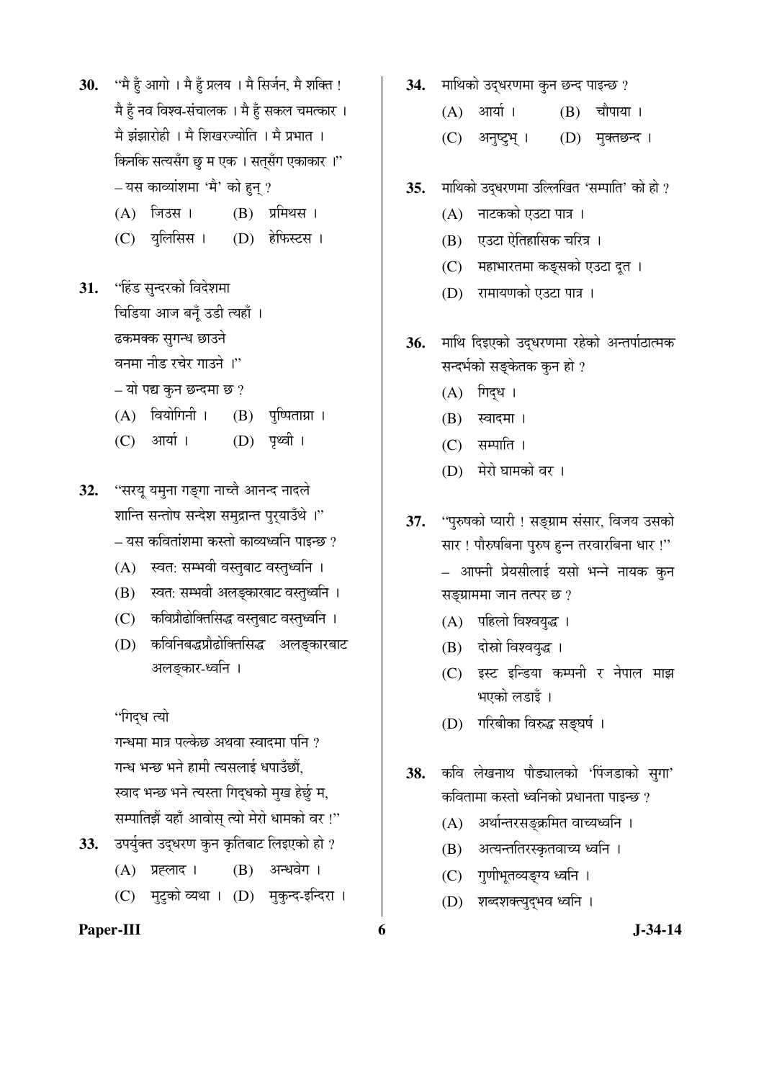- 30. "मैं हूँ आगो । मै हूँ प्रलय । मै सिर्जन, मै शक्ति ! मै हूँ नव विश्व-संचालक । मै हूँ सकल चमत्कार । मै झंझारोही । मै शिखरज्योति । मै प्रभात । किनकि सत्यसँग छू म एक । सतसँग एकाकार ।" – यस काव्यांशमा 'मै' को हुन् ?
	- $(A)$  जिउस।  $(B)$  प्रमिथस।
	- (C) युलिसिस । (D) हेफिस्टस ।
- **31.** "हिंड सुन्दरको विदेशमा <u>चिडिया आज बनूँ उडी त्यहाँ ।</u>

ढकमक्क सुगन्ध छाउने

वनमा नीड रचेर गाउने ।"

 $-$  यो पद्य कुन छन्दमा छ ?

- $(A)$  वियोगिनी ।  $(B)$  पृष्पिताग्रा ।
- (C) आर्या । (D) पृथ्वी ।
- 32. "सरयू यमुना गङ्गा नाच्ते आनन्द नादले शान्ति सन्तोष सन्देश समुद्रान्त पुरुयाउँथे ।" <u>–</u> यस कवितांशमा कस्तो काव्यध्वनि पाइन्छ ?
	- (A) स्वत: सम्भवी वस्तुबाट वस्तुध्वनि ।
	- (B) स्वत: सम्भवी अलङ्कारबाट वस्तुध्वनि ।
	- (C) कविप्रौढोक्तिसिद्ध वस्तुबाट वस्तुध्वनि ।
	- (D) कविनिबद्धप्रौढोक्तिसिद्ध अलङ्कारबाट अलङ्कार-ध्वनि ।

''गिद्ध त्यो

गन्धमा मात्र पल्केछ अथवा स्वादमा पनि ? गन्ध भन्छ भने हामी त्यसलाई धपाउँछौं, स्वाद भन्छ भने त्यस्ता गिदुधको मुख हेर्छु म, सम्पातिझैं यहाँ आवोस् त्यो मेरो धामको वर !"

- 33. उपर्युक्त उद्धरण कुन कृतिबाट लिइएको हो ?
	- (A) प्रह्लाद । (B) अन्धवेग ।
	- (C) मुटुको व्यथा । (D) मुकुन्द-इन्दिरा ।

### Paper-III 6 **J**-34-14

- 34. Hiथिको उदधरणमा कुन छन्द पाइन्छ ?
	- $(A)$  आर्या ।  $(B)$  चौपाया ।
	- (C) अनुष्ट्रभ् । (D) मुक्तछन्द ।
- 35. माथिको उद्धरणमा उल्लिखित 'सम्पाति' को हो ?
	- (A) नाटकको एउटा पात्र ।
	- $(B)$  एउटा ऐतिहासिक चरित्र ।
	- (C) महाभारतमा कङ्सको एउटा दूत ।
	- (D) रामायणको एउटा पात्र ।
- 36. माथि दिइएको उद्धरणमा रहेको अन्तर्पाठात्मक सन्दर्भको सङ्केतक कुन हो ?
	- $(A)$  गिद्ध ।
	- $(B)$  स्वादमा ।
	- $(C)$  सम्पाति ।
	- (D) मेरो घामको वर ।
- 37. "पुरुषको प्यारी ! सङ्ग्राम संसार, विजय उसको सार ! पौरुषबिना पुरुष हुन्न तरवारबिना धार !" – आफ्नी प्रेयसीलाई यसो भन्ने नायक कुन सङ्ग्राममा जान तत्पर छ?
	- (A) पहिलो विश्वयुद्ध ।
	- (B) दोस्रो विश्वयुद्ध ।
	- (C) इस्ट इन्डिया कम्पनी र नेपाल माझ भएको लडाइँ ।
	- (D) गरिबीका विरुद्ध सङ्घर्ष ।
- 38. कवि लेखनाथ पौड्यालको 'पिंजडाको सुगा' कवितामा कस्तो ध्वनिको प्रधानता पाइन्छ ?
	- (A) अर्थान्तरसङ्क्रमित वाच्यध्वनि ।
	- (B) अत्यन्ततिरस्कृतवाच्य ध्वनि ।
	- (C) गुणीभूतव्यङ्ग्य ध्वनि ।
	- (D) शब्दशक्त्युदुभव ध्वनि ।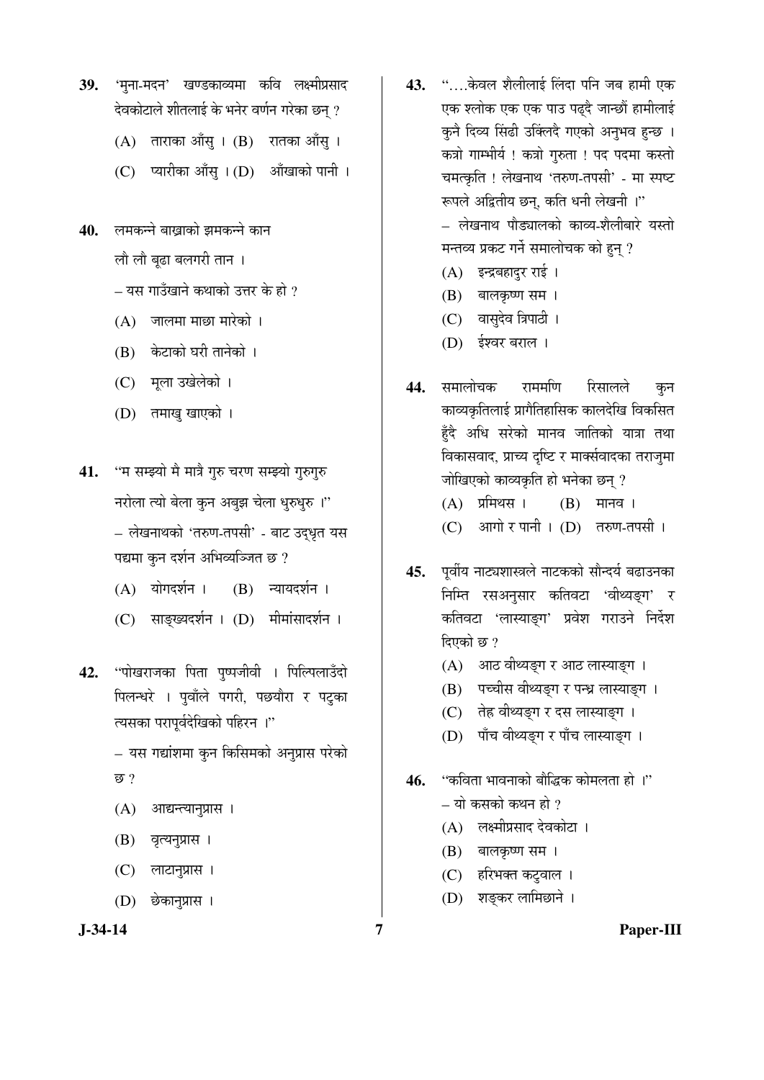- 39. 'मृना-मदन' खण्डकाव्यमा कवि लक्ष्मीप्रसाद देवकोटाले शीतलाई के भनेर वर्णन गरेका छन ?
	- $(A)$  ताराका आँस् ।  $(B)$  रातका आँस् ।
	- $(C)$  प्यारीका आँसु ।  $(D)$  आँखाको पानी ।
- 40. लमकन्ने बाखाको झमकन्ने कान

लौ लौ बूढा बलगरी तान ।

 $\pm$  यस गाउँखाने कथाको उत्तर के हो ?

- $(A)$  जालमा माछा मारेको ।
- (B) केटाको घरी तानेको ।
- (C) मृला उखेलेको ।
- (D) तमाखु खाएको ।
- 41. "म सम्झ्यो मै मात्रै गुरु चरण सम्झ्यो गुरुगुरु नरोला त्यो बेला कुन अबुझ चेला धुरुधुरु ।" – लेखनाथको 'तरुण-तपसी' - बाट उद्धृत यस पद्यमा कुन दर्शन अभिव्यञ्जित छ ?
	- (A) योगदर्शन । (B) न्यायदर्शन ।
	- (C) साङ्ख्यदर्शन । (D) मीमांसादर्शन ।
- 42. "पोखराजका पिता पुष्पजीवी । पिल्पिलाउँदो पिलन्धरे । पुवाँले पगरी, पछयौरा र पटुका त्यसका परापूर्वदेखिको पहिरन ।"

– यस गद्यांशमा कुन किसिमको अनुप्रास परेको "û ?

- $(A)$  आद्यन्त्यानुप्रास ।
- (B) वृत्यनुप्रास ।
- (C) लाटानुप्रास ।
- (D) छेकानुप्रास ।
- 43. "….केवल शैलीलाई लिंदा पनि जब हामी एक एक श्लोक एक एक पाउ पढदै जान्छौं हामीलाई कुनै दिव्य सिंढी उक्लिंदै गएको अनुभव हुन्छ । कत्रो गाम्भीर्य ! कत्रो गुरुता ! पद पदमा कस्तो चमत्कृति ! लेखनाथ 'तरुण-तपसी' - मा स्पष्ट रूपले अद्वितीय छन्, कति धनी लेखनी ।" – लेखनाथ पौड्यालको काव्य-शैलीबारे यस्तो मन्तव्य प्रकट गर्ने समालोचक को हन ?
	- (A) इन्द्रबहादुर राई।
	- $(B)$  बालकृष्ण सम ।
	- (C) वासुदेव त्रिपाठी ।
	- (D) ईश्वर बराल ।
- **44.** समालोचक राममणि रिसालले कन काव्यकृतिलाई प्रागैतिहासिक कालदेखि विकसित हँदै अधि सरेको मानव जातिको यात्रा तथा विकासवाद, प्राच्य दष्टि र मार्क्सवादका तराजमा जोखिएको काव्यकृति हो भनेका छन् ?

 $(A)$  प्रमिथस ।  $(B)$  मानव ।

- (C) आगो र पानी । (D) तरुण-तपसी ।
- 45. पूर्वीय नाट्यशास्त्रले नाटकको सौन्दर्य बढाउनका निम्ति रसअनुसार कतिवटा 'वीथ्यङ्ग' र कतिवटा 'लास्याङ्ग' प्रवेश गराउने निर्देश दिएको छ $?$ 
	- (A) आठ वीथ्यङ्ग र आठ लास्याङ्ग ।
	- (B) पच्चीस वीथ्यङ्ग र पन्ध्र लास्याङ्ग ।
	- (C) तेह्र वीथ्यङ्ग र दस लास्याङ्ग ।
	- (D) पाँच वीथ्यङ्ग र पाँच लास्याङ्ग ।
- **46.** "कविता भावनाको बौद्धिक कोमलता हो ।"
	- $-$  यो कसको कथन हो ?
	- (A) लक्ष्मीप्रसाद देवकोटा ।
	- (B) बालकृष्ण सम ।
	- (C) हरिभक्त कटुवाल ।
	- (D) शङ्कर लामिछाने ।
- 

**J-34-14 7 Paper-III**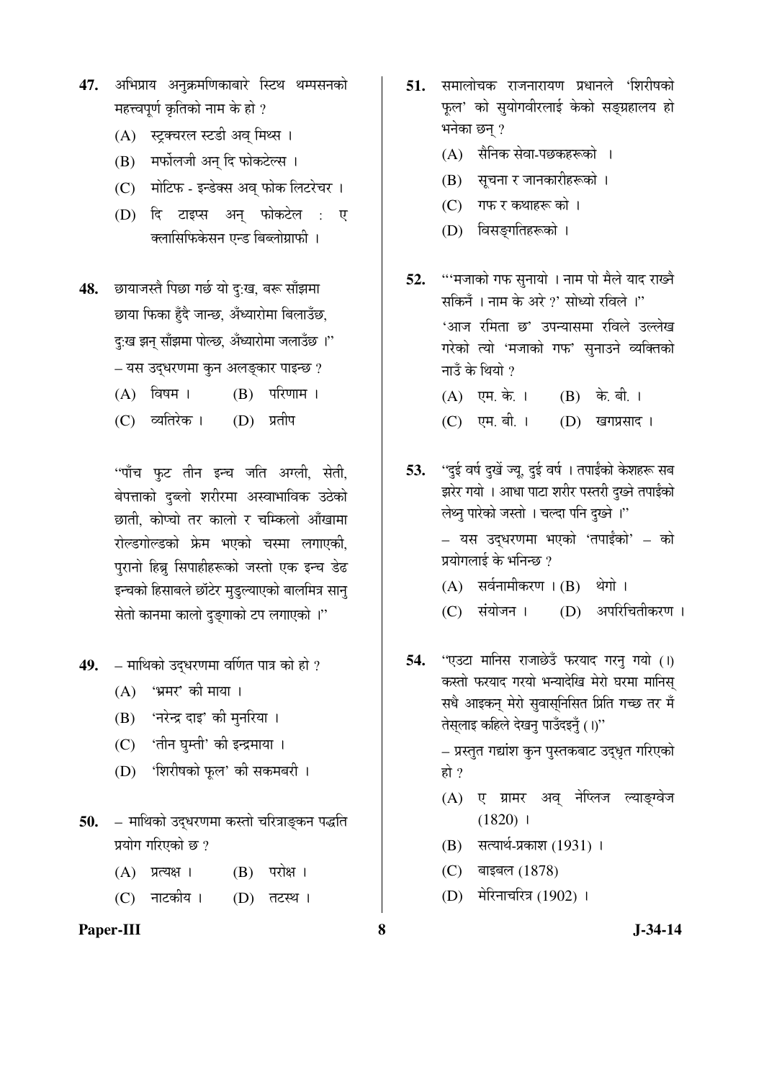- 47. अभिप्राय अनुक्रमणिकाबारे स्टिथ थम्पसनको महत्त्वपूर्ण कृतिको नाम के हो ?
	- (A) स्ट्रक्चरल स्टडी अव् मिथ्स ।
	- (B) मर्फोलजी अन् दि फोकटेल्स ।
	- (C) मोटिफ इन्डेक्स अव् फोक लिटरेचर ।
	- (D) दि टाइप्स अन् फोकटेल : ए क्लासिफिकेसन एन्ड बिब्लोग्राफी ।
- 48. छायाजस्तै पिछा गर्छ यो दु:ख, बरू साँझमा छाया फिका हुँदै जान्छ, अँध्यारोमा बिलाउँछ, दु:ख झन् साँझमा पोल्छ, अँध्यारोमा जलाउँछ ।'' – यस उद्धरणमा कुन अलङ्कार पाइन्छ ?  $(A)$  विषम ।  $(B)$  परिणाम ।
	- (C) व्यतिरेक । (D) प्रतीप

"पाँच फुट तीन इन्च जति अग्ली, सेती, बेपत्ताको दुब्लो शरीरमा अस्वाभाविक उठेको छाती, कोप्चो तर कालो र चम्किलो आँखामा रोल्डगोल्डको फ्रेम भएको चस्मा लगाएकी, पुरानो हिब्रू सिपाहीहरूको जस्तो एक इन्च डेढ इन्चको हिसाबले छाॅटेर मुडुल्याएको बालमित्र सानु सेतो कानमा कालो दुङ्गाको टप लगाएको ।"

- 49. माथिको उद्धरणमा वर्णित पात्र को हो ?
	- $(A)$  'भ्रमर' की माया ।
	- (B) 'नरेन्द्र दाइ' की मुनरिया ।
	- (C) 'तीन घुम्ती' की इन्द्रमाया ।
	- (D) 'शिरीषको फूल' की सकमबरी ।
- 50. माथिको उद्धरणमा कस्तो चरित्राङ्कन पद्धति प्रयोग गरिएको छ?
	- $(A)$  प्रत्यक्ष ।  $(B)$  परोक्ष ।
	- (C) नाटकीय । (D) तटस्थ ।
- Paper-III 8 **8** J-34-14
- **51.** समालोचक राजनारायण प्रधानले 'शिरीषको फूल' को सुयोगवीरलाई केको सङ्ग्रहालय हो भनेका छन् ?
	- (A) सैनिक सेवा-पछकहरूको ।
	- (B) सूचना र जानकारीहरूको ।
	- (C) गफ र कथाहरू को ।
	- (D) विसङ्गतिहरूको ।
- 52. "'मजाको गफ सुनायो । नाम पो मैले याद राख्ने सकिनँ । नाम के अरे ?' सोध्यो रविले ।'' 'आज रमिता छ' उपन्यासमा रविले उल्लेख गरेको त्यो 'मजाको गफ' सुनाउने व्यक्तिको नाउँ के थियो ?
	- $(A)$  एम. के. ।  $(B)$  के. बी. ।
	- (C) एम. बी. । (D) खगप्रसाद ।
- 53. ''दई वर्ष दखें ज्य. दई वर्ष । तपाईंको केशहरू सब झरेर गयो । आधा पाटा शरीर पस्तरी दुख्ने तपाईंको लेथ्नु पारेको जस्तो । चल्दा पनि दुख्ने ।" – यस उद्धरणमा भएको 'तपाईंको' – को प्रयोगलाई के भनिन्छ ?
	- $(A)$  सर्वनामीकरण  $(B)$  थेगो ।
	- (C) संयोजन । (D) अपरिचितीकरण ।
- 54. "एउटा मानिस राजाछेउँ फरयाद गरनु गयो (1) कस्तो फरयाद गरयो भन्यादेखि मेरो घरमा मानिस सधै आइकन् मेरो सुवासुनिसित प्रिति गच्छ तर मँ तेस्**लाइ कहिले देखनु पाउँदइनुँ** (।)"

– प्रस्तुत गद्यांश कुन पुस्तकबाट उद्धृत गरिएको हो ?

- (A) ए ग्रामर अव् नेप्लिज ल्याङ्ग्वेज  $(1820)$  1
- $(B)$  सत्यार्थ-प्रकाश (1931) ।
- (C) बाइबल (1878)
- (D) मेरिनाचरित्र (1902) ।
-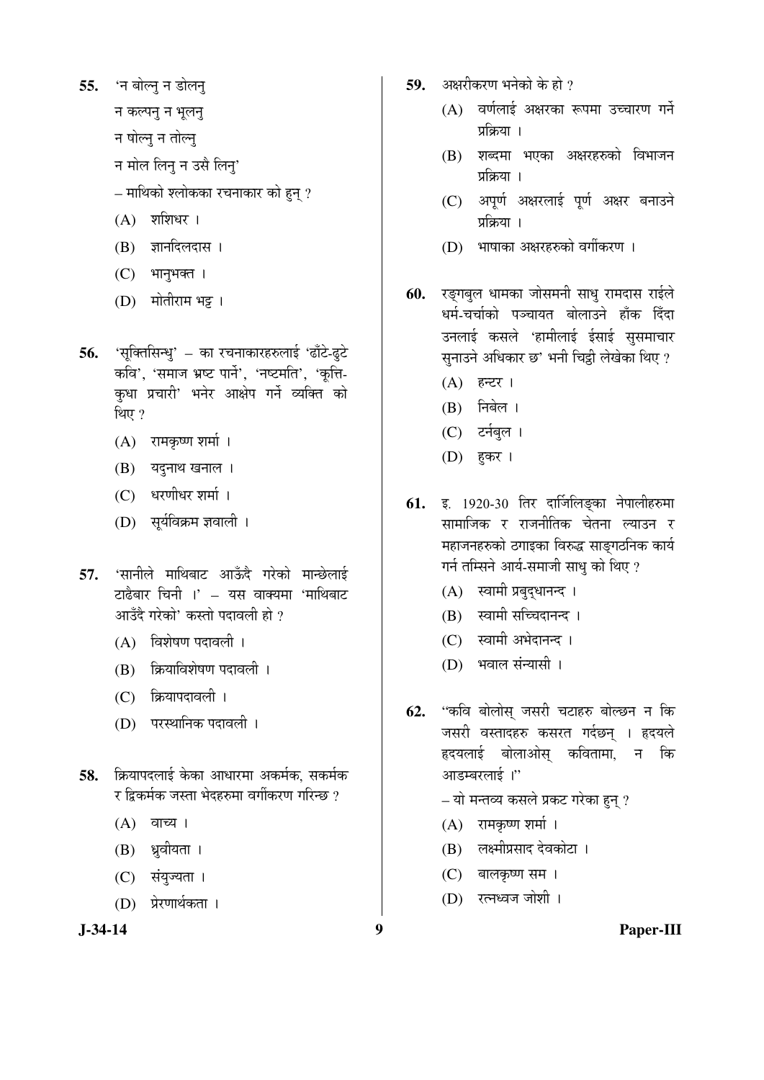55. 'न बोल्न् न डोलन्

न कल्पन् न भूलन्

न षोल्नु न तोल्नु

- न मोल लिनु न उसै लिनु'
- $\sim$  माथिको श्लोकका रचनाकार को हन ?
- $(A)$  शशिधर।
- $(B)$  ज्ञानदिलदास ।
- $(C)$  भानुभक्त।
- (D) मोतीराम भट्ट**।**
- 56. 'सूक्तिसिन्धु' का रचनाकारहरुलाई 'ढाँटे-ढुटे कवि', 'समाज भ्रष्ट पार्ने', 'नष्टमति', 'कूत्ति-कधा प्रचारी' भनेर आक्षेप गर्ने व्यक्ति को थिए $?$ 
	- $(A)$  रामकृष्ण शर्मा ।
	- $(B)$  यदुनाथ खनाल ।
	- (C) धरणीधर शर्मा ।
	- (D) सूर्यविक्रम ज्ञवाली ।
- 57. 'सानीले माथिबाट आऊँदै गरेको मान्छेलाई टाढैबार चिनी ।' – यस वाक्यमा 'माथिबाट आउँदै गरेको' कस्तो पदावली हो ?
	- $(A)$  विशेषण पदावली।
	- $(B)$  क्रियाविशेषण पदावली ।
	- (C) क्रियापदावली ।
	- (D) परस्थानिक पदावली ।
- **58.** क्रियापदलाई केका आधारमा अकर्मक, सकर्मक र द्रिकर्मक जस्ता भेदहरुमा वर्गीकरण गरिन्छ ?
	- $(A)$  वाच्य ।
	- (B) ध्रवीयता ।
	- (C) संयुज्यता ।
	- (D) प्रेरणार्थकता ।
- 
- **59.** अक्षरीकरण भनेको के हो ?
	- (A) वर्णलाई अक्षरका रूपमा उच्चारण गर्ने प्रक्रिया ।
	- (B) शब्दमा भएका अक्षरहरुको विभाजन प्रक्रिया ।
	- (C) अपूर्ण अक्षरलाई पूर्ण अक्षर बनाउने प्रक्रिया ।
	- (D) भाषाका अक्षरहरुको वर्गीकरण ।
- 60. रङ्गबुल धामका जोसमनी साधु रामदास राईले धर्म-चर्चाको पञ्चायत बोलाउने हाँक दिँदा उनलाई कसले 'हामीलाई ईसाई सुसमाचार सनाउने अधिकार छ' भनी चिट्ठी लेखेका थिए ?
	- $(A)$  हन्टर ।
	- $(B)$  निबेल।
	- (C) टर्नबुल ।
	- (D) ह़कर ।
- **61.** इ. 1920-30 तिर दार्जिलिङ्का नेपालीहरुमा सामाजिक र राजनीतिक चेतना ल्याउन र महाजनहरुको ठगाइका विरुद्ध साङ्गठनिक कार्य गर्न तम्सिने आर्य-समाजी साधु को थिए ?
	- $(A)$  स्वामी प्रबुद्धानन्द।
	- (B) स्वामी सच्चिदानन्द ।
	- (C) स्वामी अभेदानन्द ।
	- (D) भवाल संन्यासी ।
- 62. "कवि बोलोस् जसरी चटाहरु बोल्छन न कि जसरी वस्तादहरु कसरत गर्दछन् । हृदयले हदयलाई बोलाओस् कवितामा, न कि आडम्बरलाई ।"
	- $-$  यो मन्तव्य कसले प्रकट गरेका हुन् ?
	- $(A)$  रामकृष्ण शर्मा ।
	- (B) लक्ष्मीप्रसाद देवकोटा ।
	- (C) बालकृष्ण सम ।
	- (D) रत्नध्वज जोशी ।

**J-34-14 9 Paper-III**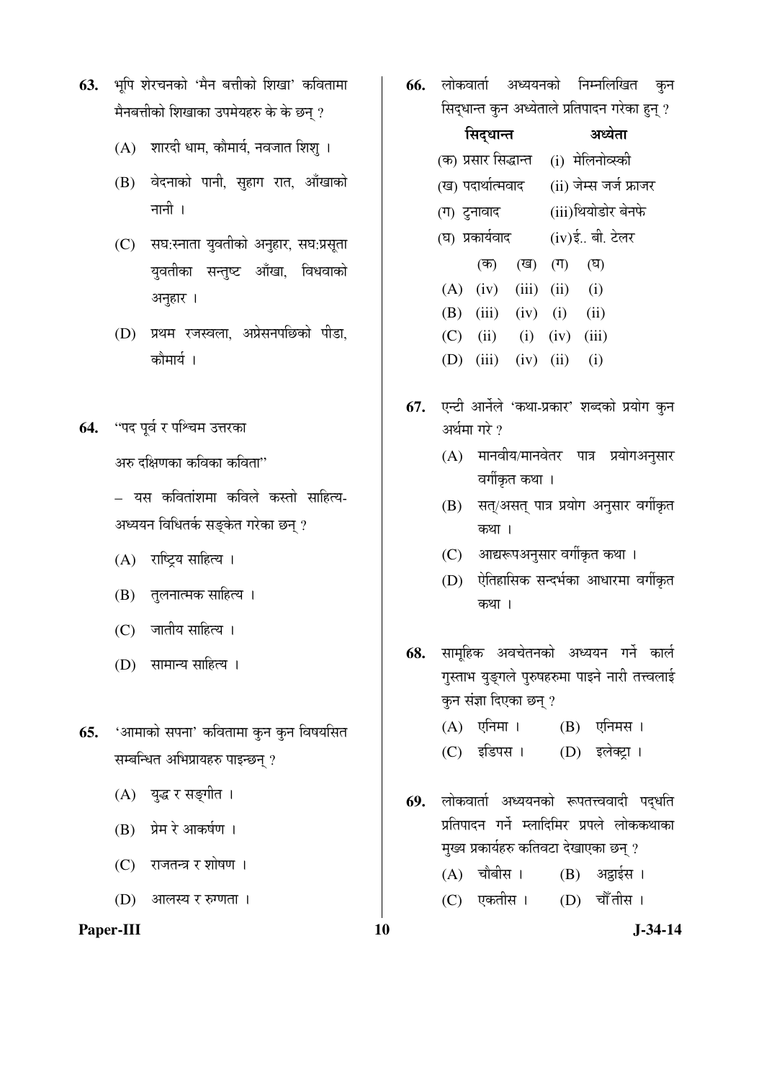- 63. भूपि शेरचनको 'मैन बत्तीको शिखा' कवितामा मैनबत्तीको शिखाका उपमेयहरु के के छन् ?
	- $(A)$  शारदी धाम, कौमार्य, नवजात शिश् ।
	- (B) वेदनाको पानी, सुहाग रात, आँखाको नानी $\perp$
	- (C) सघ:स्नाता युवतीको अनुहार, सघ:प्रसूता युवतीका सन्तुष्ट आँखा, विधवाको अनुहार ।
	- (D) प्रथम रजस्वला, अप्रेसनपछिको पीडा, कौमार्य ।
- 64. "पद पूर्व र पश्चिम उत्तरका

अरु दक्षिणका कविका कविता $"$ 

– यस कवितांशमा कविले कस्तो साहित्य-अध्ययन विधितर्क सङ्केत गरेका छन् ?

- (A) राष्ट्रिय साहित्य ।
- (B) तुलनात्मक साहित्य ।
- (C) जातीय साहित्य ।
- (D) सामान्य साहित्य ।
- **65.** 'आमाको सपना' कवितामा कुन कुन विषयसित सम्बन्धित अभिप्रायहरु पाइन्छन् ?
	- (A) युद्ध र सङ्गीत ।
	- (B) प्रेम रे आकर्षण ।
	- $(C)$  राजतन्त्र र शोषण ।
	- (D) आलस्य र रुग्णता ।

#### **Paper-III** J-34-14

**66.** लोकवार्ता अध्ययनको निम्नलिखित कुन सिद्धान्त कुन अध्येताले प्रतिपादन गरेका हुन् ?

| सिद्धान्त |                           |                             |  | अध्येता                |  |  |
|-----------|---------------------------|-----------------------------|--|------------------------|--|--|
|           | (क) प्रसार सिद्धान्त      |                             |  | (i) मेलिनोव्स्की       |  |  |
|           | (ख) पदार्थात्मवाद         |                             |  | (ii) जेम्स जर्ज फ्राजर |  |  |
|           | (ग) टुनावाद               |                             |  | (iii)थियोडोर बेनफे     |  |  |
|           | (घ) प्रकार्यवाद           |                             |  | (iv)ई बी. टेलर         |  |  |
|           | (क)                       | (ख) (ग)                     |  | (घ)                    |  |  |
|           | $(A)$ (iv) (iii) (ii) (i) |                             |  |                        |  |  |
| (B)       |                           | $(iii)$ $(iv)$ $(i)$        |  | (ii)                   |  |  |
| (C)       |                           | $(ii)$ $(i)$ $(iv)$ $(iii)$ |  |                        |  |  |
| (D)       |                           | $(iii)$ $(iv)$ $(ii)$       |  | (i)                    |  |  |

- 67. एन्टी आर्नेले 'कथा-प्रकार' शब्दको प्रयोग कुन अर्थमा गरे $\overline{v}$ 
	- $(A)$  मानवीय/मानवेतर पात्र प्रयोगअनुसार वर्गीकृत कथा ।
	- (B) सत्/असत् पात्र प्रयोग अनुसार वर्गीकृत कथा ।
	- (C) आद्यरूपअनुसार वर्गीकृत कथा ।
	- (D) ऐतिहासिक सन्दर्भका आधारमा वर्गीकृत कथा ।
- 68. सामहिक अवचेतनको अध्ययन गर्ने कार्ल गुस्ताभ युङ्गले पुरुषहरुमा पाइने नारी तत्त्वलाई कुन संज्ञा दिएका छन् ?
	- $(A)$  एनिमा ।  $(B)$  एनिमस ।
	- (C) इडिपस । (D) इलेक्ट्रा ।
- **69.** लोकवार्ता अध्ययनको रूपतत्त्ववादी पद्धति प्रतिपादन गर्ने म्लादिमिर प्रपले लोककथाका मुख्य प्रकार्यहरु कतिवटा देखाएका छन् ?
	- (A) चौबीस । (B) अट्ठाईस । (C) एकतीस । (D) चौँतीस ।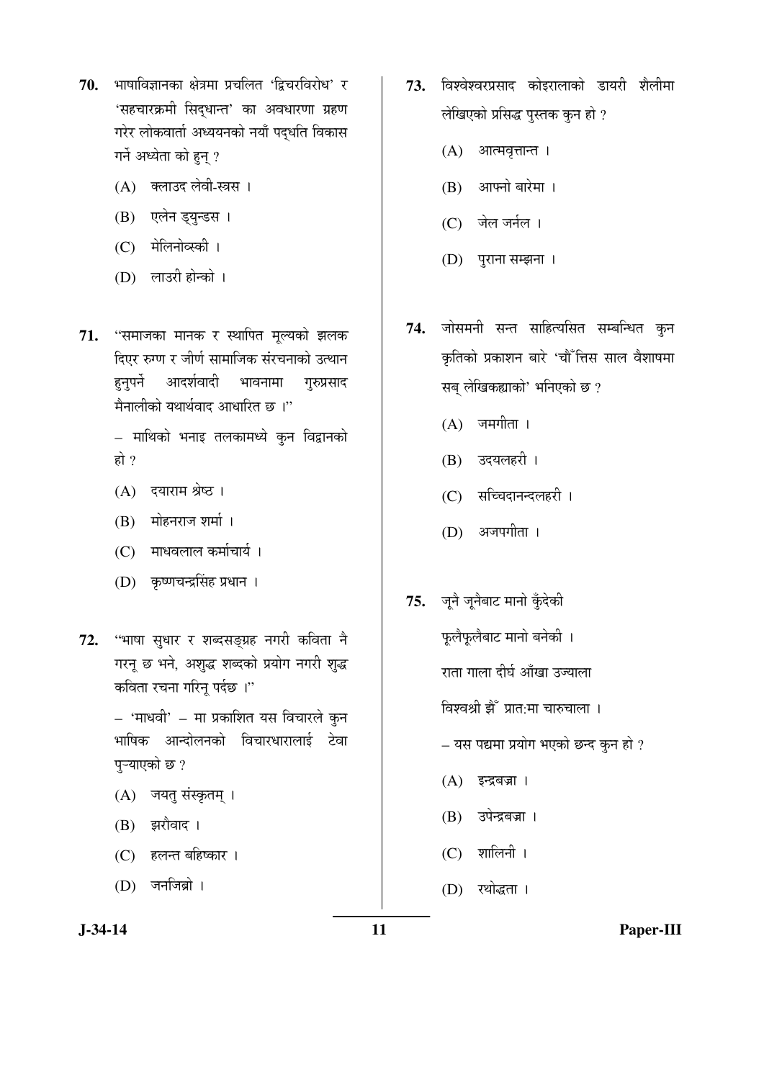- 70. भाषाविज्ञानका क्षेत्रमा प्रचलित 'द्विचरविरोध' र 'सहचारक्रमी सिदधान्त' का अवधारणा ग्रहण गरेर लोकवार्ता अध्ययनको नयाँ पदुर्धात विकास गर्ने अध्येता को हुन् ?
	- (A) क्लाउद लेवी-स्त्रस ।
	- (B) एलेन ड्युन्डस ।
	- (C) मेलिनोव्स्की ।
	- (D) लाउरी होन्को ।
- 71. "समाजका मानक र स्थापित मूल्यको झलक दिएर रुग्ण र जीर्ण सामाजिक संरचनाको उत्थान हनुपर्ने आदर्शवादी भावनामा गुरुप्रसाद मैनालीको यथार्थवाद आधारित छ । $"$ 
	- माथिको भनाइ तलकामध्ये कुन विद्वानको हो $?$
	- (A) दयाराम श्रेष्ठ ।
	- $(B)$  मोहनराज शर्मा।
	- (C) माधवलाल कर्माचार्य ।
	- (D) कृष्णचन्द्रसिंह प्रधान ।
- 72. "भाषा सुधार र शब्दसङ्ग्रह नगरी कविता नै गरनू छ भने, अशुद्ध शब्दको प्रयोग नगरी शुद्ध कविता रचना गरिन् पर्दछ ।"

– 'माधवी' – मा प्रकाशित यस विचारले कुन भाषिक आन्दोलनको विचारधारालाई टेवा पुऱ्याएको छ ?

- (A) जयतु संस्कृतम् ।
- $(B)$  झरौवाद।
- (C) हलन्त बहिष्कार ।
- $(D)$  जनजिब्रो ।
- 73. विश्वेश्वरप्रसाद कोइरालाको डायरी शैलीमा लेखिएको प्रसिद्ध पुस्तक कुन हो ?
	- $(A)$  आत्मवृत्तान्त ।
	- $(B)$  आफ्नो बारेमा ।
	- $(C)$  जेल जर्नल ।
	- (D) पुराना सम्झना ।
- **74.** जोसमनी सन्त साहित्यसित सम्बन्धित कुन कृतिको प्रकाशन बारे 'चौँ तिस साल वैशाषमा सब् लेखिकह्याको' भनिएको छ ?
	- $(A)$  जमगीता ।
	- $(B)$  उदयलहरी ।
	- (C) सच्चिदानन्दलहरी ।
	- (D) अजपगीता ।
- 75. जूनै जूनैबाट मानो कुँदेकी फूलैफूलैबाट मानो बनेकी । राता गाला दीर्घ आँखा उज्याला

विश्वश्री झैँ प्रात:मा चारुचाला ।

- $-$  यस पद्यमा प्रयोग भएको छन्द कुन हो ?
- $(A)$  इन्द्रबज्रा ।
- (B) उपेन्द्रबज्रा ।
- $(C)$  शालिनी ।
- (D) रथोद्धता ।

**J-34-14 11 Paper-III**